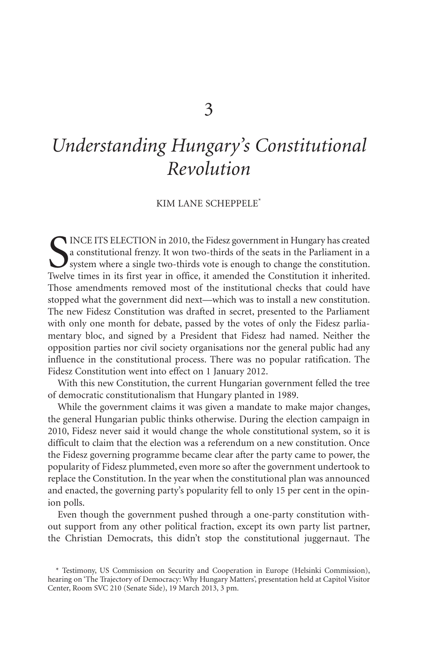## *Understanding Hungary's Constitutional Revolution*

## KIM LANE SCHEPPELE\*

SUNCE ITS ELECTION in 2010, the Fidesz government in Hungary has created a constitutional frenzy. It won two-thirds of the seats in the Parliament in a system where a single two-thirds vote is enough to change the constitu a constitutional frenzy. It won two-thirds of the seats in the Parliament in a  $\mathbf{J}$  system where a single two-thirds vote is enough to change the constitution. Twelve times in its first year in office, it amended the Constitution it inherited. Those amendments removed most of the institutional checks that could have stopped what the government did next—which was to install a new constitution. The new Fidesz Constitution was drafted in secret, presented to the Parliament with only one month for debate, passed by the votes of only the Fidesz parliamentary bloc, and signed by a President that Fidesz had named. Neither the opposition parties nor civil society organisations nor the general public had any influence in the constitutional process. There was no popular ratification. The Fidesz Constitution went into effect on 1 January 2012.

With this new Constitution, the current Hungarian government felled the tree of democratic constitutionalism that Hungary planted in 1989.

While the government claims it was given a mandate to make major changes, the general Hungarian public thinks otherwise. During the election campaign in 2010, Fidesz never said it would change the whole constitutional system, so it is difficult to claim that the election was a referendum on a new constitution. Once the Fidesz governing programme became clear after the party came to power, the popularity of Fidesz plummeted, even more so after the government undertook to replace the Constitution. In the year when the constitutional plan was announced and enacted, the governing party's popularity fell to only 15 per cent in the opinion polls.

Even though the government pushed through a one-party constitution without support from any other political fraction, except its own party list partner, the Christian Democrats, this didn't stop the constitutional juggernaut. The

<sup>\*</sup> Testimony, US Commission on Security and Cooperation in Europe (Helsinki Commission), hearing on 'The Trajectory of Democracy: Why Hungary Matters', presentation held at Capitol Visitor Center, Room SVC 210 (Senate Side), 19 March 2013, 3 pm.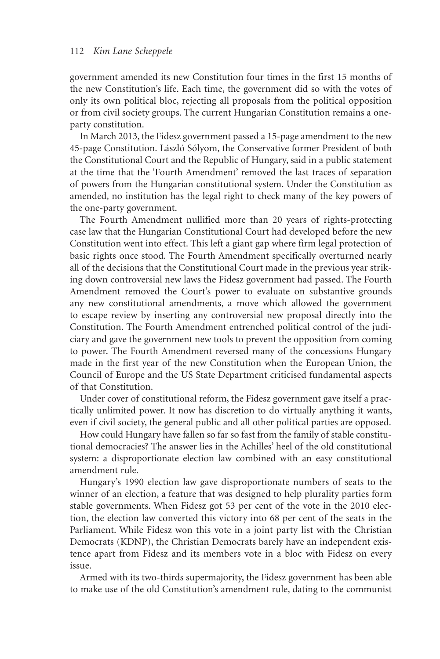## 112 *Kim Lane Scheppele*

government amended its new Constitution four times in the first 15 months of the new Constitution's life. Each time, the government did so with the votes of only its own political bloc, rejecting all proposals from the political opposition or from civil society groups. The current Hungarian Constitution remains a oneparty constitution.

In March 2013, the Fidesz government passed a 15-page amendment to the new 45-page Constitution. László Sólyom, the Conservative former President of both the Constitutional Court and the Republic of Hungary, said in a public statement at the time that the 'Fourth Amendment' removed the last traces of separation of powers from the Hungarian constitutional system. Under the Constitution as amended, no institution has the legal right to check many of the key powers of the one-party government.

The Fourth Amendment nullified more than 20 years of rights-protecting case law that the Hungarian Constitutional Court had developed before the new Constitution went into effect. This left a giant gap where firm legal protection of basic rights once stood. The Fourth Amendment specifically overturned nearly all of the decisions that the Constitutional Court made in the previous year striking down controversial new laws the Fidesz government had passed. The Fourth Amendment removed the Court's power to evaluate on substantive grounds any new constitutional amendments, a move which allowed the government to escape review by inserting any controversial new proposal directly into the Constitution. The Fourth Amendment entrenched political control of the judiciary and gave the government new tools to prevent the opposition from coming to power. The Fourth Amendment reversed many of the concessions Hungary made in the first year of the new Constitution when the European Union, the Council of Europe and the US State Department criticised fundamental aspects of that Constitution.

Under cover of constitutional reform, the Fidesz government gave itself a practically unlimited power. It now has discretion to do virtually anything it wants, even if civil society, the general public and all other political parties are opposed.

How could Hungary have fallen so far so fast from the family of stable constitutional democracies? The answer lies in the Achilles' heel of the old constitutional system: a disproportionate election law combined with an easy constitutional amendment rule.

Hungary's 1990 election law gave disproportionate numbers of seats to the winner of an election, a feature that was designed to help plurality parties form stable governments. When Fidesz got 53 per cent of the vote in the 2010 election, the election law converted this victory into 68 per cent of the seats in the Parliament. While Fidesz won this vote in a joint party list with the Christian Democrats (KDNP), the Christian Democrats barely have an independent existence apart from Fidesz and its members vote in a bloc with Fidesz on every issue.

Armed with its two-thirds supermajority, the Fidesz government has been able to make use of the old Constitution's amendment rule, dating to the communist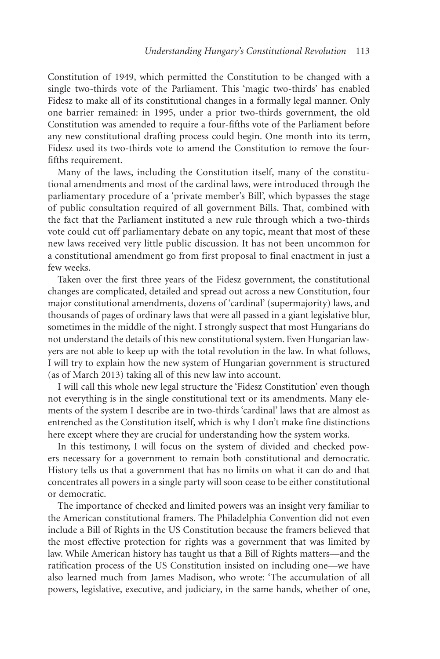Constitution of 1949, which permitted the Constitution to be changed with a single two-thirds vote of the Parliament. This 'magic two-thirds' has enabled Fidesz to make all of its constitutional changes in a formally legal manner. Only one barrier remained: in 1995, under a prior two-thirds government, the old Constitution was amended to require a four-fifths vote of the Parliament before any new constitutional drafting process could begin. One month into its term, Fidesz used its two-thirds vote to amend the Constitution to remove the fourfifths requirement.

Many of the laws, including the Constitution itself, many of the constitutional amendments and most of the cardinal laws, were introduced through the parliamentary procedure of a 'private member's Bill', which bypasses the stage of public consultation required of all government Bills. That, combined with the fact that the Parliament instituted a new rule through which a two-thirds vote could cut off parliamentary debate on any topic, meant that most of these new laws received very little public discussion. It has not been uncommon for a constitutional amendment go from first proposal to final enactment in just a few weeks.

Taken over the first three years of the Fidesz government, the constitutional changes are complicated, detailed and spread out across a new Constitution, four major constitutional amendments, dozens of 'cardinal' (supermajority) laws, and thousands of pages of ordinary laws that were all passed in a giant legislative blur, sometimes in the middle of the night. I strongly suspect that most Hungarians do not understand the details of this new constitutional system. Even Hungarian lawyers are not able to keep up with the total revolution in the law. In what follows, I will try to explain how the new system of Hungarian government is structured (as of March 2013) taking all of this new law into account.

I will call this whole new legal structure the 'Fidesz Constitution' even though not everything is in the single constitutional text or its amendments. Many elements of the system I describe are in two-thirds 'cardinal' laws that are almost as entrenched as the Constitution itself, which is why I don't make fine distinctions here except where they are crucial for understanding how the system works.

In this testimony, I will focus on the system of divided and checked powers necessary for a government to remain both constitutional and democratic. History tells us that a government that has no limits on what it can do and that concentrates all powers in a single party will soon cease to be either constitutional or democratic.

The importance of checked and limited powers was an insight very familiar to the American constitutional framers. The Philadelphia Convention did not even include a Bill of Rights in the US Constitution because the framers believed that the most effective protection for rights was a government that was limited by law. While American history has taught us that a Bill of Rights matters—and the ratification process of the US Constitution insisted on including one—we have also learned much from James Madison, who wrote: 'The accumulation of all powers, legislative, executive, and judiciary, in the same hands, whether of one,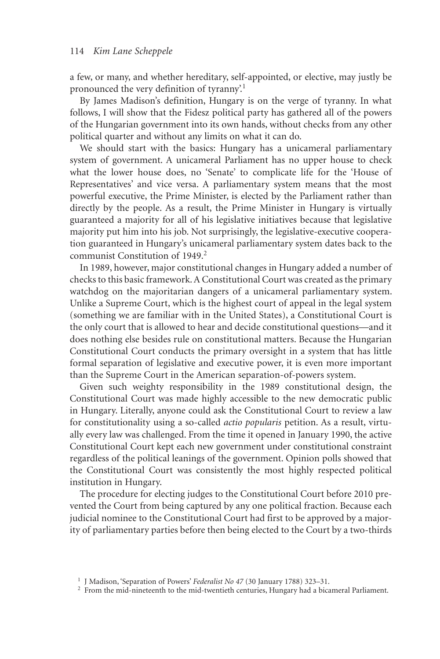a few, or many, and whether hereditary, self-appointed, or elective, may justly be pronounced the very definition of tyranny'.<sup>1</sup>

By James Madison's definition, Hungary is on the verge of tyranny. In what follows, I will show that the Fidesz political party has gathered all of the powers of the Hungarian government into its own hands, without checks from any other political quarter and without any limits on what it can do.

We should start with the basics: Hungary has a unicameral parliamentary system of government. A unicameral Parliament has no upper house to check what the lower house does, no 'Senate' to complicate life for the 'House of Representatives' and vice versa. A parliamentary system means that the most powerful executive, the Prime Minister, is elected by the Parliament rather than directly by the people. As a result, the Prime Minister in Hungary is virtually guaranteed a majority for all of his legislative initiatives because that legislative majority put him into his job. Not surprisingly, the legislative-executive cooperation guaranteed in Hungary's unicameral parliamentary system dates back to the communist Constitution of 1949.<sup>2</sup>

In 1989, however, major constitutional changes in Hungary added a number of checks to this basic framework. A Constitutional Court was created as the primary watchdog on the majoritarian dangers of a unicameral parliamentary system. Unlike a Supreme Court, which is the highest court of appeal in the legal system (something we are familiar with in the United States), a Constitutional Court is the only court that is allowed to hear and decide constitutional questions—and it does nothing else besides rule on constitutional matters. Because the Hungarian Constitutional Court conducts the primary oversight in a system that has little formal separation of legislative and executive power, it is even more important than the Supreme Court in the American separation-of-powers system.

Given such weighty responsibility in the 1989 constitutional design, the Constitutional Court was made highly accessible to the new democratic public in Hungary. Literally, anyone could ask the Constitutional Court to review a law for constitutionality using a so-called *actio popularis* petition. As a result, virtually every law was challenged. From the time it opened in January 1990, the active Constitutional Court kept each new government under constitutional constraint regardless of the political leanings of the government. Opinion polls showed that the Constitutional Court was consistently the most highly respected political institution in Hungary.

The procedure for electing judges to the Constitutional Court before 2010 prevented the Court from being captured by any one political fraction. Because each judicial nominee to the Constitutional Court had first to be approved by a majority of parliamentary parties before then being elected to the Court by a two-thirds

<sup>1</sup> J Madison, 'Separation of Powers' *Federalist No 47* (30 January 1788) 323–31.

<sup>&</sup>lt;sup>2</sup> From the mid-nineteenth to the mid-twentieth centuries, Hungary had a bicameral Parliament.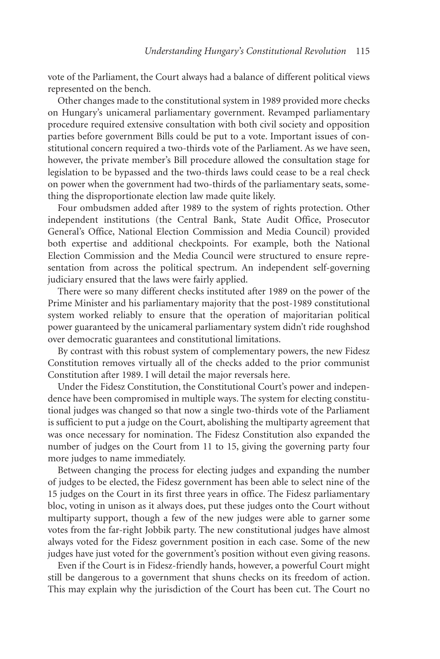vote of the Parliament, the Court always had a balance of different political views represented on the bench.

Other changes made to the constitutional system in 1989 provided more checks on Hungary's unicameral parliamentary government. Revamped parliamentary procedure required extensive consultation with both civil society and opposition parties before government Bills could be put to a vote. Important issues of constitutional concern required a two-thirds vote of the Parliament. As we have seen, however, the private member's Bill procedure allowed the consultation stage for legislation to be bypassed and the two-thirds laws could cease to be a real check on power when the government had two-thirds of the parliamentary seats, something the disproportionate election law made quite likely.

Four ombudsmen added after 1989 to the system of rights protection. Other independent institutions (the Central Bank, State Audit Office, Prosecutor General's Office, National Election Commission and Media Council) provided both expertise and additional checkpoints. For example, both the National Election Commission and the Media Council were structured to ensure representation from across the political spectrum. An independent self-governing judiciary ensured that the laws were fairly applied.

There were so many different checks instituted after 1989 on the power of the Prime Minister and his parliamentary majority that the post-1989 constitutional system worked reliably to ensure that the operation of majoritarian political power guaranteed by the unicameral parliamentary system didn't ride roughshod over democratic guarantees and constitutional limitations.

By contrast with this robust system of complementary powers, the new Fidesz Constitution removes virtually all of the checks added to the prior communist Constitution after 1989. I will detail the major reversals here.

Under the Fidesz Constitution, the Constitutional Court's power and independence have been compromised in multiple ways. The system for electing constitutional judges was changed so that now a single two-thirds vote of the Parliament is sufficient to put a judge on the Court, abolishing the multiparty agreement that was once necessary for nomination. The Fidesz Constitution also expanded the number of judges on the Court from 11 to 15, giving the governing party four more judges to name immediately.

Between changing the process for electing judges and expanding the number of judges to be elected, the Fidesz government has been able to select nine of the 15 judges on the Court in its first three years in office. The Fidesz parliamentary bloc, voting in unison as it always does, put these judges onto the Court without multiparty support, though a few of the new judges were able to garner some votes from the far-right Jobbik party. The new constitutional judges have almost always voted for the Fidesz government position in each case. Some of the new judges have just voted for the government's position without even giving reasons.

Even if the Court is in Fidesz-friendly hands, however, a powerful Court might still be dangerous to a government that shuns checks on its freedom of action. This may explain why the jurisdiction of the Court has been cut. The Court no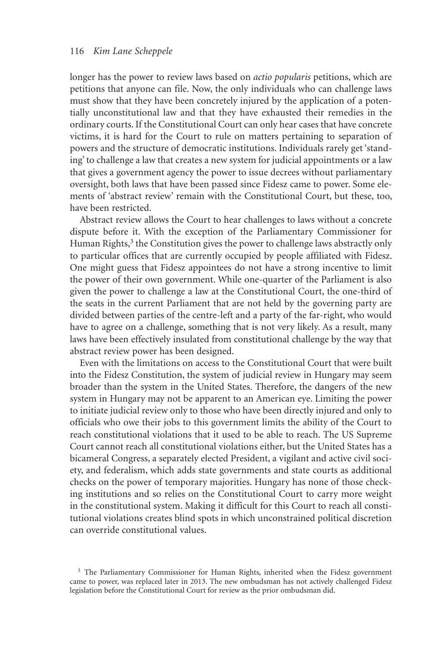## 116 *Kim Lane Scheppele*

longer has the power to review laws based on *actio popularis* petitions, which are petitions that anyone can file. Now, the only individuals who can challenge laws must show that they have been concretely injured by the application of a potentially unconstitutional law and that they have exhausted their remedies in the ordinary courts. If the Constitutional Court can only hear cases that have concrete victims, it is hard for the Court to rule on matters pertaining to separation of powers and the structure of democratic institutions. Individuals rarely get 'standing' to challenge a law that creates a new system for judicial appointments or a law that gives a government agency the power to issue decrees without parliamentary oversight, both laws that have been passed since Fidesz came to power. Some elements of 'abstract review' remain with the Constitutional Court, but these, too, have been restricted.

Abstract review allows the Court to hear challenges to laws without a concrete dispute before it. With the exception of the Parliamentary Commissioner for Human Rights,<sup>3</sup> the Constitution gives the power to challenge laws abstractly only to particular offices that are currently occupied by people affiliated with Fidesz. One might guess that Fidesz appointees do not have a strong incentive to limit the power of their own government. While one-quarter of the Parliament is also given the power to challenge a law at the Constitutional Court, the one-third of the seats in the current Parliament that are not held by the governing party are divided between parties of the centre-left and a party of the far-right, who would have to agree on a challenge, something that is not very likely. As a result, many laws have been effectively insulated from constitutional challenge by the way that abstract review power has been designed.

Even with the limitations on access to the Constitutional Court that were built into the Fidesz Constitution, the system of judicial review in Hungary may seem broader than the system in the United States. Therefore, the dangers of the new system in Hungary may not be apparent to an American eye. Limiting the power to initiate judicial review only to those who have been directly injured and only to officials who owe their jobs to this government limits the ability of the Court to reach constitutional violations that it used to be able to reach. The US Supreme Court cannot reach all constitutional violations either, but the United States has a bicameral Congress, a separately elected President, a vigilant and active civil society, and federalism, which adds state governments and state courts as additional checks on the power of temporary majorities. Hungary has none of those checking institutions and so relies on the Constitutional Court to carry more weight in the constitutional system. Making it difficult for this Court to reach all constitutional violations creates blind spots in which unconstrained political discretion can override constitutional values.

<sup>&</sup>lt;sup>3</sup> The Parliamentary Commissioner for Human Rights, inherited when the Fidesz government came to power, was replaced later in 2013. The new ombudsman has not actively challenged Fidesz legislation before the Constitutional Court for review as the prior ombudsman did.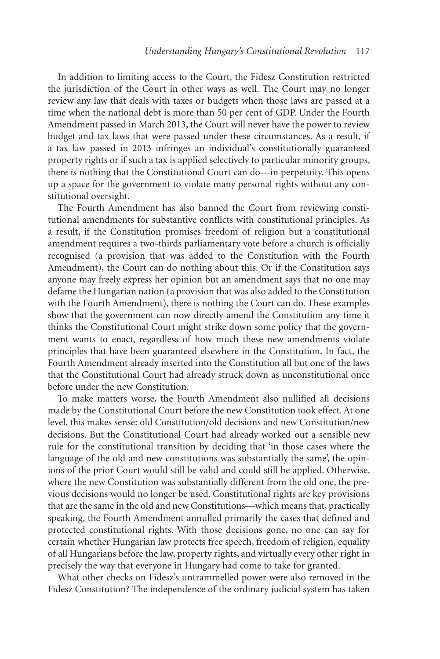In addition to limiting access to the Court, the Fidesz Constitution restricted the jurisdiction of the Court in other ways as well. The Court may no longer review any law that deals with taxes or budgets when those laws are passed at a time when the national debt is more than 50 per cent of GDP. Under the Fourth Amendment passed in March 2013, the Court will never have the power to review budget and tax laws that were passed under these circumstances. As a result, if a tax law passed in 2013 infringes an individual's constitutionally guaranteed property rights or if such a tax is applied selectively to particular minority groups, there is nothing that the Constitutional Court can do—in perpetuity. This opens up a space for the government to violate many personal rights without any constitutional oversight.

The Fourth Amendment has also banned the Court from reviewing constitutional amendments for substantive conflicts with constitutional principles. As a result, if the Constitution promises freedom of religion but a constitutional amendment requires a two-thirds parliamentary vote before a church is officially recognised (a provision that was added to the Constitution with the Fourth Amendment), the Court can do nothing about this. Or if the Constitution says anyone may freely express her opinion but an amendment says that no one may defame the Hungarian nation (a provision that was also added to the Constitution with the Fourth Amendment), there is nothing the Court can do. These examples show that the government can now directly amend the Constitution any time it thinks the Constitutional Court might strike down some policy that the government wants to enact, regardless of how much these new amendments violate principles that have been guaranteed elsewhere in the Constitution. In fact, the Fourth Amendment already inserted into the Constitution all but one of the laws that the Constitutional Court had already struck down as unconstitutional once before under the new Constitution.

To make matters worse, the Fourth Amendment also nullified all decisions made by the Constitutional Court before the new Constitution took effect. At one level, this makes sense: old Constitution/old decisions and new Constitution/new decisions. But the Constitutional Court had already worked out a sensible new rule for the constitutional transition by deciding that 'in those cases where the language of the old and new constitutions was substantially the same', the opinions of the prior Court would still be valid and could still be applied. Otherwise, where the new Constitution was substantially different from the old one, the previous decisions would no longer be used. Constitutional rights are key provisions that are the same in the old and new Constitutions—which means that, practically speaking, the Fourth Amendment annulled primarily the cases that defined and protected constitutional rights. With those decisions gone, no one can say for certain whether Hungarian law protects free speech, freedom of religion, equality of all Hungarians before the law, property rights, and virtually every other right in precisely the way that everyone in Hungary had come to take for granted.

What other checks on Fidesz's untrammelled power were also removed in the Fidesz Constitution? The independence of the ordinary judicial system has taken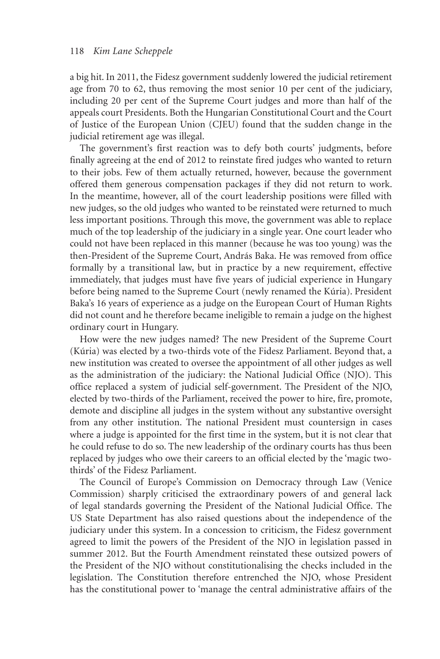a big hit. In 2011, the Fidesz government suddenly lowered the judicial retirement age from 70 to 62, thus removing the most senior 10 per cent of the judiciary, including 20 per cent of the Supreme Court judges and more than half of the appeals court Presidents. Both the Hungarian Constitutional Court and the Court of Justice of the European Union (CJEU) found that the sudden change in the judicial retirement age was illegal.

The government's first reaction was to defy both courts' judgments, before finally agreeing at the end of 2012 to reinstate fired judges who wanted to return to their jobs. Few of them actually returned, however, because the government offered them generous compensation packages if they did not return to work. In the meantime, however, all of the court leadership positions were filled with new judges, so the old judges who wanted to be reinstated were returned to much less important positions. Through this move, the government was able to replace much of the top leadership of the judiciary in a single year. One court leader who could not have been replaced in this manner (because he was too young) was the then-President of the Supreme Court, András Baka. He was removed from office formally by a transitional law, but in practice by a new requirement, effective immediately, that judges must have five years of judicial experience in Hungary before being named to the Supreme Court (newly renamed the Kúria). President Baka's 16 years of experience as a judge on the European Court of Human Rights did not count and he therefore became ineligible to remain a judge on the highest ordinary court in Hungary.

How were the new judges named? The new President of the Supreme Court (Kúria) was elected by a two-thirds vote of the Fidesz Parliament. Beyond that, a new institution was created to oversee the appointment of all other judges as well as the administration of the judiciary: the National Judicial Office (NJO). This office replaced a system of judicial self-government. The President of the NJO, elected by two-thirds of the Parliament, received the power to hire, fire, promote, demote and discipline all judges in the system without any substantive oversight from any other institution. The national President must countersign in cases where a judge is appointed for the first time in the system, but it is not clear that he could refuse to do so. The new leadership of the ordinary courts has thus been replaced by judges who owe their careers to an official elected by the 'magic twothirds' of the Fidesz Parliament.

The Council of Europe's Commission on Democracy through Law (Venice Commission) sharply criticised the extraordinary powers of and general lack of legal standards governing the President of the National Judicial Office. The US State Department has also raised questions about the independence of the judiciary under this system. In a concession to criticism, the Fidesz government agreed to limit the powers of the President of the NJO in legislation passed in summer 2012. But the Fourth Amendment reinstated these outsized powers of the President of the NJO without constitutionalising the checks included in the legislation. The Constitution therefore entrenched the NJO, whose President has the constitutional power to 'manage the central administrative affairs of the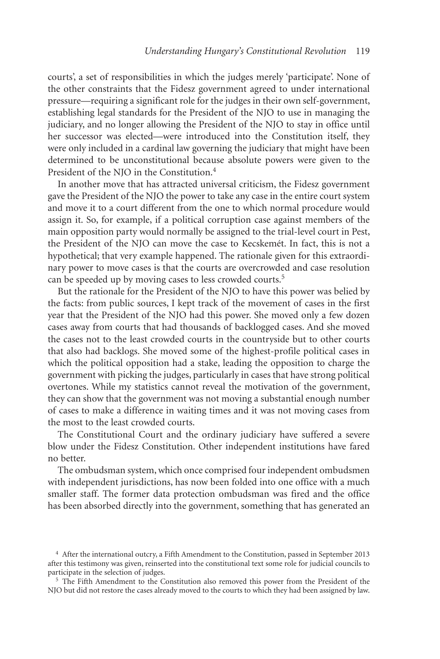courts', a set of responsibilities in which the judges merely 'participate'. None of the other constraints that the Fidesz government agreed to under international pressure—requiring a significant role for the judges in their own self-government, establishing legal standards for the President of the NJO to use in managing the judiciary, and no longer allowing the President of the NJO to stay in office until her successor was elected—were introduced into the Constitution itself, they were only included in a cardinal law governing the judiciary that might have been determined to be unconstitutional because absolute powers were given to the President of the NJO in the Constitution.<sup>4</sup>

In another move that has attracted universal criticism, the Fidesz government gave the President of the NJO the power to take any case in the entire court system and move it to a court different from the one to which normal procedure would assign it. So, for example, if a political corruption case against members of the main opposition party would normally be assigned to the trial-level court in Pest, the President of the NJO can move the case to Kecskemét. In fact, this is not a hypothetical; that very example happened. The rationale given for this extraordinary power to move cases is that the courts are overcrowded and case resolution can be speeded up by moving cases to less crowded courts.<sup>5</sup>

But the rationale for the President of the NJO to have this power was belied by the facts: from public sources, I kept track of the movement of cases in the first year that the President of the NJO had this power. She moved only a few dozen cases away from courts that had thousands of backlogged cases. And she moved the cases not to the least crowded courts in the countryside but to other courts that also had backlogs. She moved some of the highest-profile political cases in which the political opposition had a stake, leading the opposition to charge the government with picking the judges, particularly in cases that have strong political overtones. While my statistics cannot reveal the motivation of the government, they can show that the government was not moving a substantial enough number of cases to make a difference in waiting times and it was not moving cases from the most to the least crowded courts.

The Constitutional Court and the ordinary judiciary have suffered a severe blow under the Fidesz Constitution. Other independent institutions have fared no better.

The ombudsman system, which once comprised four independent ombudsmen with independent jurisdictions, has now been folded into one office with a much smaller staff. The former data protection ombudsman was fired and the office has been absorbed directly into the government, something that has generated an

<sup>4</sup> After the international outcry, a Fifth Amendment to the Constitution, passed in September 2013 after this testimony was given, reinserted into the constitutional text some role for judicial councils to participate in the selection of judges.

<sup>5</sup> The Fifth Amendment to the Constitution also removed this power from the President of the NJO but did not restore the cases already moved to the courts to which they had been assigned by law.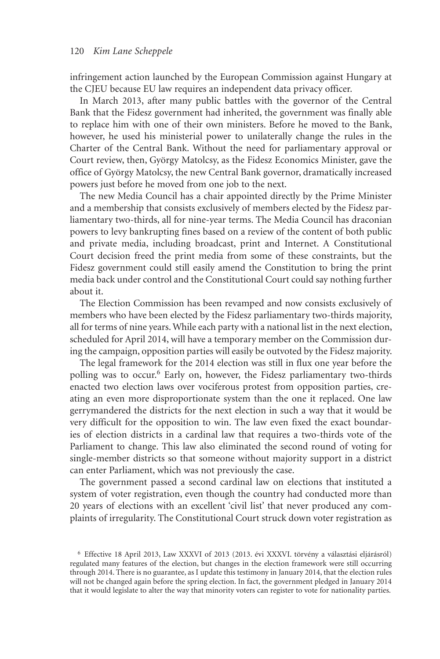infringement action launched by the European Commission against Hungary at the CJEU because EU law requires an independent data privacy officer.

In March 2013, after many public battles with the governor of the Central Bank that the Fidesz government had inherited, the government was finally able to replace him with one of their own ministers. Before he moved to the Bank, however, he used his ministerial power to unilaterally change the rules in the Charter of the Central Bank. Without the need for parliamentary approval or Court review, then, György Matolcsy, as the Fidesz Economics Minister, gave the office of György Matolcsy, the new Central Bank governor, dramatically increased powers just before he moved from one job to the next.

The new Media Council has a chair appointed directly by the Prime Minister and a membership that consists exclusively of members elected by the Fidesz parliamentary two-thirds, all for nine-year terms. The Media Council has draconian powers to levy bankrupting fines based on a review of the content of both public and private media, including broadcast, print and Internet. A Constitutional Court decision freed the print media from some of these constraints, but the Fidesz government could still easily amend the Constitution to bring the print media back under control and the Constitutional Court could say nothing further about it.

The Election Commission has been revamped and now consists exclusively of members who have been elected by the Fidesz parliamentary two-thirds majority, all for terms of nine years. While each party with a national list in the next election, scheduled for April 2014, will have a temporary member on the Commission during the campaign, opposition parties will easily be outvoted by the Fidesz majority.

The legal framework for the 2014 election was still in flux one year before the polling was to occur.6 Early on, however, the Fidesz parliamentary two-thirds enacted two election laws over vociferous protest from opposition parties, creating an even more disproportionate system than the one it replaced. One law gerrymandered the districts for the next election in such a way that it would be very difficult for the opposition to win. The law even fixed the exact boundaries of election districts in a cardinal law that requires a two-thirds vote of the Parliament to change. This law also eliminated the second round of voting for single-member districts so that someone without majority support in a district can enter Parliament, which was not previously the case.

The government passed a second cardinal law on elections that instituted a system of voter registration, even though the country had conducted more than 20 years of elections with an excellent 'civil list' that never produced any complaints of irregularity. The Constitutional Court struck down voter registration as

<sup>6</sup> Effective 18 April 2013, Law XXXVI of 2013 (2013. évi XXXVI. törvény a választási eljárásról) regulated many features of the election, but changes in the election framework were still occurring through 2014. There is no guarantee, as I update this testimony in January 2014, that the election rules will not be changed again before the spring election. In fact, the government pledged in January 2014 that it would legislate to alter the way that minority voters can register to vote for nationality parties.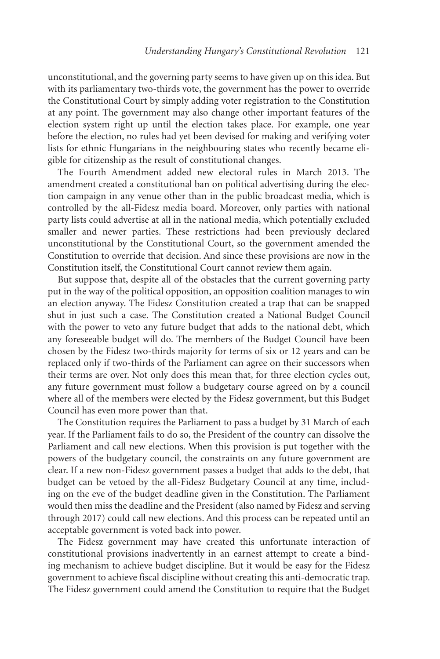unconstitutional, and the governing party seems to have given up on this idea. But with its parliamentary two-thirds vote, the government has the power to override the Constitutional Court by simply adding voter registration to the Constitution at any point. The government may also change other important features of the election system right up until the election takes place. For example, one year before the election, no rules had yet been devised for making and verifying voter lists for ethnic Hungarians in the neighbouring states who recently became eligible for citizenship as the result of constitutional changes.

The Fourth Amendment added new electoral rules in March 2013. The amendment created a constitutional ban on political advertising during the election campaign in any venue other than in the public broadcast media, which is controlled by the all-Fidesz media board. Moreover, only parties with national party lists could advertise at all in the national media, which potentially excluded smaller and newer parties. These restrictions had been previously declared unconstitutional by the Constitutional Court, so the government amended the Constitution to override that decision. And since these provisions are now in the Constitution itself, the Constitutional Court cannot review them again.

But suppose that, despite all of the obstacles that the current governing party put in the way of the political opposition, an opposition coalition manages to win an election anyway. The Fidesz Constitution created a trap that can be snapped shut in just such a case. The Constitution created a National Budget Council with the power to veto any future budget that adds to the national debt, which any foreseeable budget will do. The members of the Budget Council have been chosen by the Fidesz two-thirds majority for terms of six or 12 years and can be replaced only if two-thirds of the Parliament can agree on their successors when their terms are over. Not only does this mean that, for three election cycles out, any future government must follow a budgetary course agreed on by a council where all of the members were elected by the Fidesz government, but this Budget Council has even more power than that.

The Constitution requires the Parliament to pass a budget by 31 March of each year. If the Parliament fails to do so, the President of the country can dissolve the Parliament and call new elections. When this provision is put together with the powers of the budgetary council, the constraints on any future government are clear. If a new non-Fidesz government passes a budget that adds to the debt, that budget can be vetoed by the all-Fidesz Budgetary Council at any time, including on the eve of the budget deadline given in the Constitution. The Parliament would then miss the deadline and the President (also named by Fidesz and serving through 2017) could call new elections. And this process can be repeated until an acceptable government is voted back into power.

The Fidesz government may have created this unfortunate interaction of constitutional provisions inadvertently in an earnest attempt to create a binding mechanism to achieve budget discipline. But it would be easy for the Fidesz government to achieve fiscal discipline without creating this anti-democratic trap. The Fidesz government could amend the Constitution to require that the Budget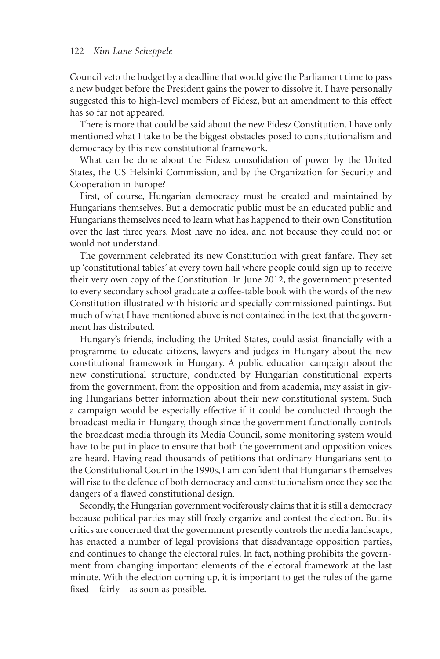Council veto the budget by a deadline that would give the Parliament time to pass a new budget before the President gains the power to dissolve it. I have personally suggested this to high-level members of Fidesz, but an amendment to this effect has so far not appeared.

There is more that could be said about the new Fidesz Constitution. I have only mentioned what I take to be the biggest obstacles posed to constitutionalism and democracy by this new constitutional framework.

What can be done about the Fidesz consolidation of power by the United States, the US Helsinki Commission, and by the Organization for Security and Cooperation in Europe?

First, of course, Hungarian democracy must be created and maintained by Hungarians themselves. But a democratic public must be an educated public and Hungarians themselves need to learn what has happened to their own Constitution over the last three years. Most have no idea, and not because they could not or would not understand.

The government celebrated its new Constitution with great fanfare. They set up 'constitutional tables' at every town hall where people could sign up to receive their very own copy of the Constitution. In June 2012, the government presented to every secondary school graduate a coffee-table book with the words of the new Constitution illustrated with historic and specially commissioned paintings. But much of what I have mentioned above is not contained in the text that the government has distributed.

Hungary's friends, including the United States, could assist financially with a programme to educate citizens, lawyers and judges in Hungary about the new constitutional framework in Hungary. A public education campaign about the new constitutional structure, conducted by Hungarian constitutional experts from the government, from the opposition and from academia, may assist in giving Hungarians better information about their new constitutional system. Such a campaign would be especially effective if it could be conducted through the broadcast media in Hungary, though since the government functionally controls the broadcast media through its Media Council, some monitoring system would have to be put in place to ensure that both the government and opposition voices are heard. Having read thousands of petitions that ordinary Hungarians sent to the Constitutional Court in the 1990s, I am confident that Hungarians themselves will rise to the defence of both democracy and constitutionalism once they see the dangers of a flawed constitutional design.

Secondly, the Hungarian government vociferously claims that it is still a democracy because political parties may still freely organize and contest the election. But its critics are concerned that the government presently controls the media landscape, has enacted a number of legal provisions that disadvantage opposition parties, and continues to change the electoral rules. In fact, nothing prohibits the government from changing important elements of the electoral framework at the last minute. With the election coming up, it is important to get the rules of the game fixed—fairly—as soon as possible.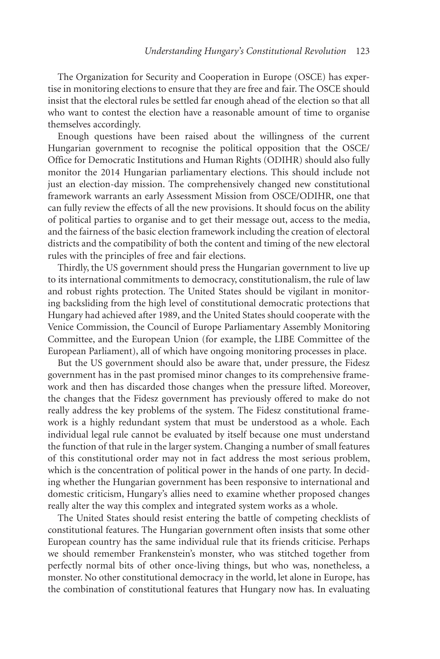The Organization for Security and Cooperation in Europe (OSCE) has expertise in monitoring elections to ensure that they are free and fair. The OSCE should insist that the electoral rules be settled far enough ahead of the election so that all who want to contest the election have a reasonable amount of time to organise themselves accordingly.

Enough questions have been raised about the willingness of the current Hungarian government to recognise the political opposition that the OSCE/ Office for Democratic Institutions and Human Rights (ODIHR) should also fully monitor the 2014 Hungarian parliamentary elections. This should include not just an election-day mission. The comprehensively changed new constitutional framework warrants an early Assessment Mission from OSCE/ODIHR, one that can fully review the effects of all the new provisions. It should focus on the ability of political parties to organise and to get their message out, access to the media, and the fairness of the basic election framework including the creation of electoral districts and the compatibility of both the content and timing of the new electoral rules with the principles of free and fair elections.

Thirdly, the US government should press the Hungarian government to live up to its international commitments to democracy, constitutionalism, the rule of law and robust rights protection. The United States should be vigilant in monitoring backsliding from the high level of constitutional democratic protections that Hungary had achieved after 1989, and the United States should cooperate with the Venice Commission, the Council of Europe Parliamentary Assembly Monitoring Committee, and the European Union (for example, the LIBE Committee of the European Parliament), all of which have ongoing monitoring processes in place.

But the US government should also be aware that, under pressure, the Fidesz government has in the past promised minor changes to its comprehensive framework and then has discarded those changes when the pressure lifted. Moreover, the changes that the Fidesz government has previously offered to make do not really address the key problems of the system. The Fidesz constitutional framework is a highly redundant system that must be understood as a whole. Each individual legal rule cannot be evaluated by itself because one must understand the function of that rule in the larger system. Changing a number of small features of this constitutional order may not in fact address the most serious problem, which is the concentration of political power in the hands of one party. In deciding whether the Hungarian government has been responsive to international and domestic criticism, Hungary's allies need to examine whether proposed changes really alter the way this complex and integrated system works as a whole.

The United States should resist entering the battle of competing checklists of constitutional features. The Hungarian government often insists that some other European country has the same individual rule that its friends criticise. Perhaps we should remember Frankenstein's monster, who was stitched together from perfectly normal bits of other once-living things, but who was, nonetheless, a monster. No other constitutional democracy in the world, let alone in Europe, has the combination of constitutional features that Hungary now has. In evaluating